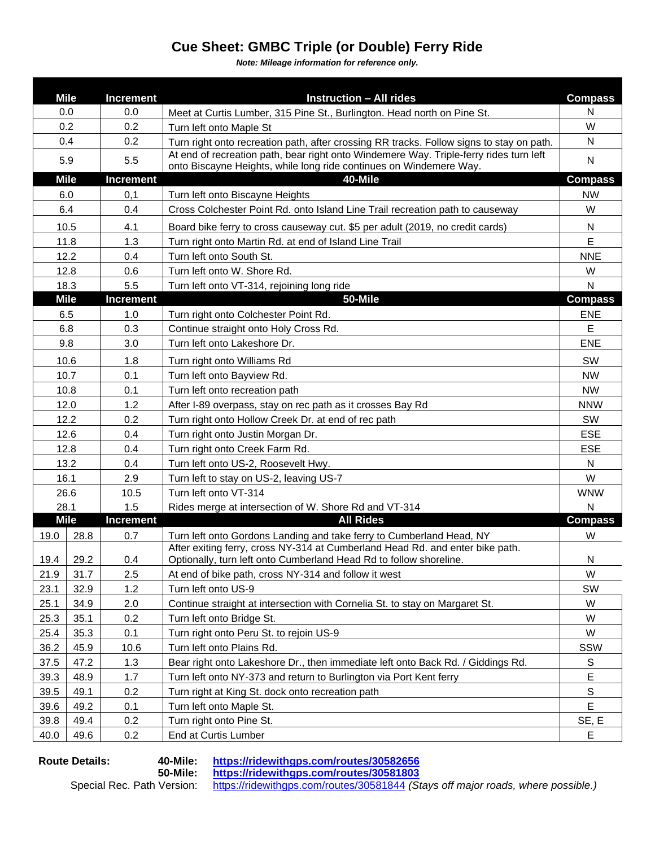## **Cue Sheet: GMBC Triple (or Double) Ferry Ride**

*Note: Mileage information for reference only.*

|                                 | <b>Mile</b> | <b>Increment</b> | <b>Instruction - All rides</b>                                                                                                                               | <b>Compass</b> |
|---------------------------------|-------------|------------------|--------------------------------------------------------------------------------------------------------------------------------------------------------------|----------------|
| 0.0                             |             | 0.0              | Meet at Curtis Lumber, 315 Pine St., Burlington. Head north on Pine St.                                                                                      | N              |
| 0.2                             |             | 0.2              | Turn left onto Maple St                                                                                                                                      | W              |
| 0.4                             |             | 0.2              | Turn right onto recreation path, after crossing RR tracks. Follow signs to stay on path.                                                                     | N              |
| 5.9                             |             | 5.5              | At end of recreation path, bear right onto Windemere Way. Triple-ferry rides turn left<br>onto Biscayne Heights, while long ride continues on Windemere Way. | $\mathsf{N}$   |
| <b>Mile</b>                     |             | <b>Increment</b> | 40-Mile                                                                                                                                                      | <b>Compass</b> |
| 6.0                             |             | 0,1              | Turn left onto Biscayne Heights                                                                                                                              | <b>NW</b>      |
| 6.4                             |             | 0.4              | Cross Colchester Point Rd. onto Island Line Trail recreation path to causeway                                                                                | W              |
| 10.5                            |             | 4.1              | Board bike ferry to cross causeway cut. \$5 per adult (2019, no credit cards)                                                                                | N              |
| 11.8                            |             | 1.3              | Turn right onto Martin Rd. at end of Island Line Trail                                                                                                       | E              |
| 12.2                            |             | 0.4              | Turn left onto South St.                                                                                                                                     | <b>NNE</b>     |
| 12.8                            |             | 0.6              | Turn left onto W. Shore Rd.                                                                                                                                  | W              |
| 18.3                            |             | 5.5              | Turn left onto VT-314, rejoining long ride                                                                                                                   | N              |
| <b>Mile</b><br><b>Increment</b> |             |                  | 50-Mile                                                                                                                                                      | <b>Compass</b> |
| 6.5                             |             | 1.0              | Turn right onto Colchester Point Rd.                                                                                                                         | <b>ENE</b>     |
| 6.8                             |             | 0.3              | Continue straight onto Holy Cross Rd.                                                                                                                        | $\mathsf E$    |
| 9.8                             |             | 3.0              | Turn left onto Lakeshore Dr.                                                                                                                                 | <b>ENE</b>     |
| 10.6                            |             | 1.8              | Turn right onto Williams Rd                                                                                                                                  | SW             |
| 10.7                            |             | 0.1              | Turn left onto Bayview Rd.                                                                                                                                   | <b>NW</b>      |
| 10.8                            |             | 0.1              | Turn left onto recreation path                                                                                                                               | <b>NW</b>      |
| 12.0                            |             | 1.2              | After I-89 overpass, stay on rec path as it crosses Bay Rd                                                                                                   | <b>NNW</b>     |
| 12.2                            |             | 0.2              | Turn right onto Hollow Creek Dr. at end of rec path                                                                                                          | SW             |
| 12.6                            |             | 0.4              | Turn right onto Justin Morgan Dr.                                                                                                                            | <b>ESE</b>     |
| 12.8                            |             | 0.4              | Turn right onto Creek Farm Rd.                                                                                                                               | <b>ESE</b>     |
| 13.2                            |             | 0.4              | Turn left onto US-2, Roosevelt Hwy.                                                                                                                          | $\mathsf{N}$   |
| 16.1                            |             | 2.9              | Turn left to stay on US-2, leaving US-7                                                                                                                      | W              |
| 26.6                            |             | 10.5             | Turn left onto VT-314                                                                                                                                        | <b>WNW</b>     |
| 28.1                            |             | 1.5              | Rides merge at intersection of W. Shore Rd and VT-314                                                                                                        | N              |
|                                 | <b>Mile</b> | <b>Increment</b> | <b>All Rides</b>                                                                                                                                             | <b>Compass</b> |
| 19.0                            | 28.8        | 0.7              | Turn left onto Gordons Landing and take ferry to Cumberland Head, NY                                                                                         | W              |
| 19.4                            | 29.2        | 0.4              | After exiting ferry, cross NY-314 at Cumberland Head Rd. and enter bike path.<br>Optionally, turn left onto Cumberland Head Rd to follow shoreline.          | N              |
| 21.9                            | 31.7        | 2.5              | At end of bike path, cross NY-314 and follow it west                                                                                                         | W              |
| 23.1                            | 32.9        | 1.2              | Turn left onto US-9                                                                                                                                          | SW             |
| 25.1                            | 34.9        | 2.0              | Continue straight at intersection with Cornelia St. to stay on Margaret St.                                                                                  | W              |
| 25.3                            | 35.1        | 0.2              | Turn left onto Bridge St.                                                                                                                                    | W              |
| 25.4                            | 35.3        | 0.1              | Turn right onto Peru St. to rejoin US-9                                                                                                                      | W              |
| 36.2                            | 45.9        | 10.6             | Turn left onto Plains Rd.                                                                                                                                    | SSW            |
| 37.5                            | 47.2        | 1.3              | Bear right onto Lakeshore Dr., then immediate left onto Back Rd. / Giddings Rd.                                                                              | S              |
| 39.3                            | 48.9        | 1.7              | Turn left onto NY-373 and return to Burlington via Port Kent ferry                                                                                           | E              |
| 39.5                            | 49.1        | 0.2              | Turn right at King St. dock onto recreation path                                                                                                             | ${\mathbb S}$  |
| 39.6                            | 49.2        | 0.1              | Turn left onto Maple St.                                                                                                                                     | E              |
| 39.8                            | 49.4        | 0.2              | Turn right onto Pine St.                                                                                                                                     | SE, E          |
| 40.0                            | 49.6        | 0.2              | End at Curtis Lumber                                                                                                                                         | Е              |

**Route Details: 40-Mile: <https://ridewithgps.com/routes/30582656>**

**50-Mile: <https://ridewithgps.com/routes/30581803>** Special Rec. Path Version: <https://ridewithgps.com/routes/30581844> *(Stays off major roads, where possible.)*